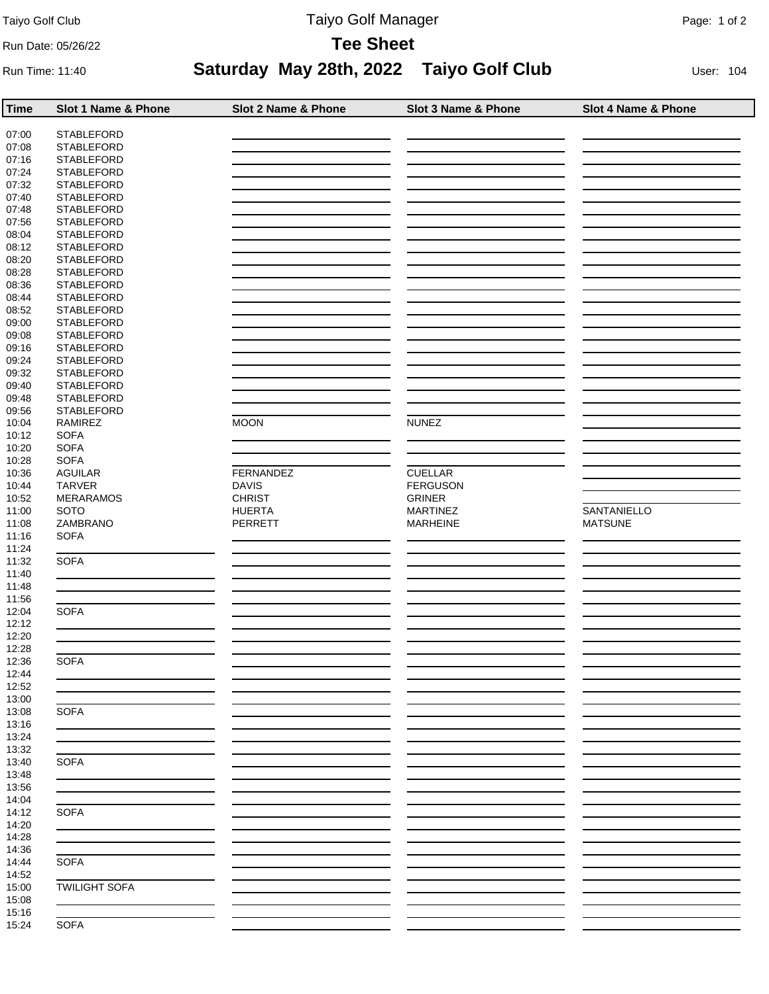# Taiyo Golf Club **Taiyo Golf Manager** Page: 1 of 2

Run Date: 05/26/22 **Tee Sheet**

# Run Time: 11:40 **Saturday May 28th, 2022 Taiyo Golf Club** User: 104

| Time           | Slot 1 Name & Phone                            | Slot 2 Name & Phone | Slot 3 Name & Phone                              | Slot 4 Name & Phone                                         |
|----------------|------------------------------------------------|---------------------|--------------------------------------------------|-------------------------------------------------------------|
|                |                                                |                     |                                                  |                                                             |
| 07:00          | <b>STABLEFORD</b>                              |                     |                                                  |                                                             |
| 07:08          | <b>STABLEFORD</b>                              |                     |                                                  |                                                             |
| 07:16          | <b>STABLEFORD</b>                              |                     |                                                  |                                                             |
| 07:24          | <b>STABLEFORD</b>                              |                     |                                                  |                                                             |
| 07:32          | <b>STABLEFORD</b>                              |                     |                                                  |                                                             |
| 07:40          | <b>STABLEFORD</b>                              |                     |                                                  |                                                             |
| 07:48          | <b>STABLEFORD</b>                              |                     |                                                  |                                                             |
| 07:56          | <b>STABLEFORD</b>                              |                     |                                                  |                                                             |
| 08:04          | <b>STABLEFORD</b>                              |                     |                                                  |                                                             |
| 08:12          | <b>STABLEFORD</b>                              |                     |                                                  |                                                             |
| 08:20          | <b>STABLEFORD</b>                              |                     |                                                  |                                                             |
| 08:28          | <b>STABLEFORD</b>                              |                     |                                                  |                                                             |
| 08:36          | <b>STABLEFORD</b>                              |                     |                                                  |                                                             |
| 08:44          | <b>STABLEFORD</b>                              |                     |                                                  |                                                             |
| 08:52          | <b>STABLEFORD</b>                              |                     |                                                  |                                                             |
| 09:00          | <b>STABLEFORD</b>                              |                     |                                                  |                                                             |
| 09:08<br>09:16 | <b>STABLEFORD</b><br><b>STABLEFORD</b>         |                     |                                                  |                                                             |
| 09:24          | <b>STABLEFORD</b>                              |                     | the control of the control of the control of the |                                                             |
| 09:32          | <b>STABLEFORD</b>                              |                     |                                                  |                                                             |
| 09:40          | <b>STABLEFORD</b>                              |                     |                                                  |                                                             |
| 09:48          | <b>STABLEFORD</b>                              |                     |                                                  |                                                             |
| 09:56          | <b>STABLEFORD</b>                              |                     |                                                  |                                                             |
| 10:04          | <b>RAMIREZ</b>                                 | <b>MOON</b>         | <b>NUNEZ</b>                                     |                                                             |
| 10:12          | <b>SOFA</b>                                    |                     | the control of the control of the control of     |                                                             |
| 10:20          | <b>SOFA</b>                                    |                     |                                                  |                                                             |
| 10:28          | <b>SOFA</b>                                    |                     |                                                  |                                                             |
| 10:36          | <b>AGUILAR</b>                                 | FERNANDEZ           | <b>CUELLAR</b>                                   |                                                             |
| 10:44          | <b>TARVER</b>                                  | <b>DAVIS</b>        | <b>FERGUSON</b>                                  |                                                             |
| 10:52          | <b>MERARAMOS</b>                               | <b>CHRIST</b>       | <b>GRINER</b>                                    |                                                             |
| 11:00          | <b>SOTO</b>                                    | <b>HUERTA</b>       | MARTINEZ                                         | SANTANIELLO                                                 |
| 11:08          | ZAMBRANO                                       | PERRETT             | <b>MARHEINE</b>                                  | <b>MATSUNE</b>                                              |
| 11:16          | <b>SOFA</b>                                    |                     |                                                  |                                                             |
| 11:24          |                                                |                     |                                                  |                                                             |
| 11:32          | <b>SOFA</b>                                    |                     |                                                  |                                                             |
| 11:40          | <u> 1989 - Johann Barnett, fransk kongresu</u> |                     |                                                  |                                                             |
| 11:48          |                                                |                     | the control of the control of the control of the | the control of the control of the control of the control of |
| 11:56          |                                                |                     |                                                  |                                                             |
| 12:04          | <b>SOFA</b>                                    |                     |                                                  |                                                             |
| 12:12          |                                                |                     |                                                  |                                                             |
| 12:20<br>12:28 |                                                |                     |                                                  |                                                             |
|                | SOFA                                           |                     |                                                  |                                                             |
| 12:36<br>12:44 |                                                |                     |                                                  |                                                             |
| 12:52          |                                                |                     |                                                  |                                                             |
| 13:00          |                                                |                     |                                                  |                                                             |
| 13:08          | <b>SOFA</b>                                    |                     |                                                  |                                                             |
| 13:16          |                                                |                     |                                                  |                                                             |
| 13:24          |                                                |                     |                                                  |                                                             |
| 13:32          |                                                |                     |                                                  |                                                             |
| 13:40          | <b>SOFA</b>                                    |                     |                                                  |                                                             |
| 13:48          |                                                |                     |                                                  |                                                             |
| 13:56          |                                                |                     |                                                  |                                                             |
| 14:04          |                                                |                     |                                                  |                                                             |
| 14:12          | <b>SOFA</b>                                    |                     |                                                  |                                                             |
| 14:20          |                                                |                     |                                                  |                                                             |
| 14:28          |                                                |                     |                                                  |                                                             |
| 14:36          |                                                |                     |                                                  |                                                             |
| 14:44          | <b>SOFA</b>                                    |                     |                                                  |                                                             |
| 14:52          |                                                |                     |                                                  |                                                             |
| 15:00          | <b>TWILIGHT SOFA</b>                           |                     |                                                  |                                                             |
| 15:08          |                                                |                     |                                                  |                                                             |
| 15:16          |                                                |                     |                                                  |                                                             |
| 15:24          | <b>SOFA</b>                                    |                     |                                                  |                                                             |